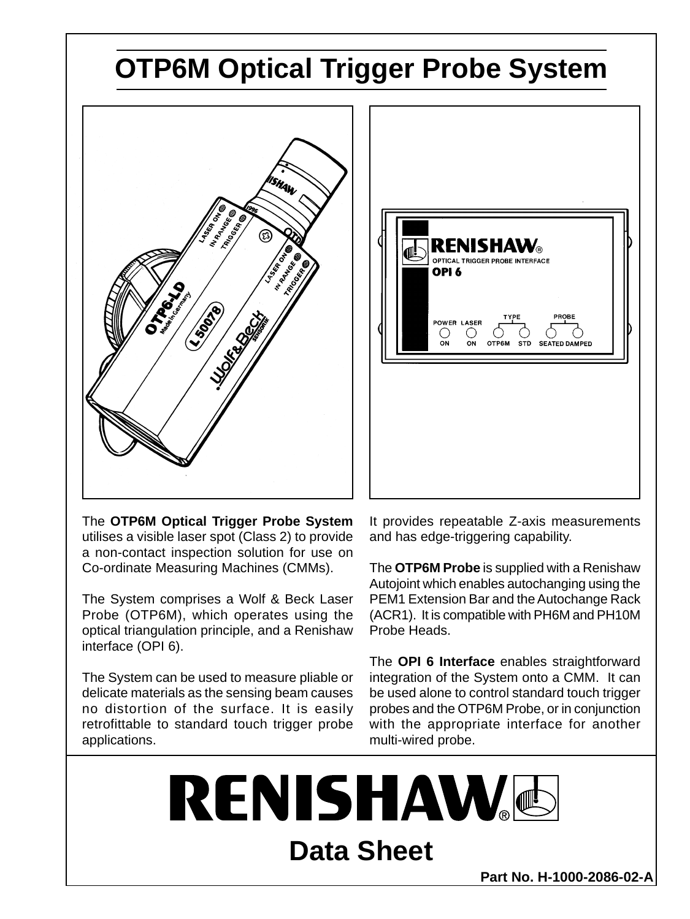## **OTP6M Optical Trigger Probe System**





The **OTP6M Optical Trigger Probe System** utilises a visible laser spot (Class 2) to provide a non-contact inspection solution for use on Co-ordinate Measuring Machines (CMMs).

The System comprises a Wolf & Beck Laser Probe (OTP6M), which operates using the optical triangulation principle, and a Renishaw interface (OPI 6).

The System can be used to measure pliable or delicate materials as the sensing beam causes no distortion of the surface. It is easily retrofittable to standard touch trigger probe applications.

It provides repeatable Z-axis measurements and has edge-triggering capability.

The **OTP6M Probe** is supplied with a Renishaw Autojoint which enables autochanging using the PEM1 Extension Bar and the Autochange Rack (ACR1). It is compatible with PH6M and PH10M Probe Heads.

The **OPI 6 Interface** enables straightforward integration of the System onto a CMM. It can be used alone to control standard touch trigger probes and the OTP6M Probe, or in conjunction with the appropriate interface for another multi-wired probe.

**RENISHAW Data Sheet**

**Part No. H-1000-2086-02-A**